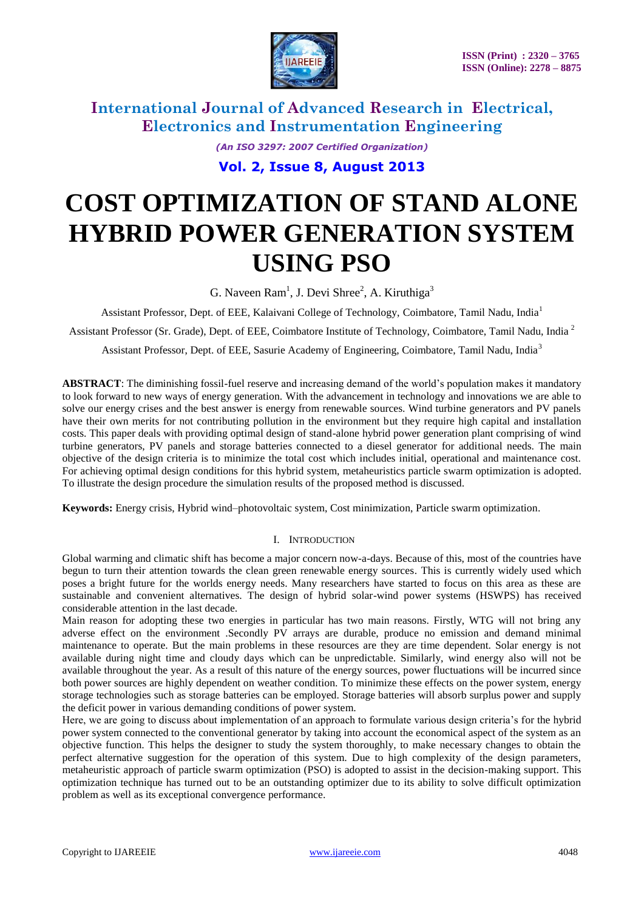

*(An ISO 3297: 2007 Certified Organization)*

**Vol. 2, Issue 8, August 2013**

# **COST OPTIMIZATION OF STAND ALONE HYBRID POWER GENERATION SYSTEM USING PSO**

G. Naveen  $Ram<sup>1</sup>$ , J. Devi Shree<sup>2</sup>, A. Kiruthiga<sup>3</sup>

Assistant Professor, Dept. of EEE, Kalaivani College of Technology, Coimbatore, Tamil Nadu, India<sup>1</sup>

Assistant Professor (Sr. Grade), Dept. of EEE, Coimbatore Institute of Technology, Coimbatore, Tamil Nadu, India <sup>2</sup>

Assistant Professor, Dept. of EEE, Sasurie Academy of Engineering, Coimbatore, Tamil Nadu, India<sup>3</sup>

**ABSTRACT**: The diminishing fossil-fuel reserve and increasing demand of the world's population makes it mandatory to look forward to new ways of energy generation. With the advancement in technology and innovations we are able to solve our energy crises and the best answer is energy from renewable sources. Wind turbine generators and PV panels have their own merits for not contributing pollution in the environment but they require high capital and installation costs. This paper deals with providing optimal design of stand-alone hybrid power generation plant comprising of wind turbine generators, PV panels and storage batteries connected to a diesel generator for additional needs. The main objective of the design criteria is to minimize the total cost which includes initial, operational and maintenance cost. For achieving optimal design conditions for this hybrid system, metaheuristics particle swarm optimization is adopted. To illustrate the design procedure the simulation results of the proposed method is discussed.

**Keywords:** Energy crisis, Hybrid wind–photovoltaic system, Cost minimization, Particle swarm optimization.

### I. INTRODUCTION

Global warming and climatic shift has become a major concern now-a-days. Because of this, most of the countries have begun to turn their attention towards the clean green renewable energy sources. This is currently widely used which poses a bright future for the worlds energy needs. Many researchers have started to focus on this area as these are sustainable and convenient alternatives. The design of hybrid solar-wind power systems (HSWPS) has received considerable attention in the last decade.

Main reason for adopting these two energies in particular has two main reasons. Firstly, WTG will not bring any adverse effect on the environment .Secondly PV arrays are durable, produce no emission and demand minimal maintenance to operate. But the main problems in these resources are they are time dependent. Solar energy is not available during night time and cloudy days which can be unpredictable. Similarly, wind energy also will not be available throughout the year. As a result of this nature of the energy sources, power fluctuations will be incurred since both power sources are highly dependent on weather condition. To minimize these effects on the power system, energy storage technologies such as storage batteries can be employed. Storage batteries will absorb surplus power and supply the deficit power in various demanding conditions of power system.

Here, we are going to discuss about implementation of an approach to formulate various design criteria's for the hybrid power system connected to the conventional generator by taking into account the economical aspect of the system as an objective function. This helps the designer to study the system thoroughly, to make necessary changes to obtain the perfect alternative suggestion for the operation of this system. Due to high complexity of the design parameters, metaheuristic approach of particle swarm optimization (PSO) is adopted to assist in the decision-making support. This optimization technique has turned out to be an outstanding optimizer due to its ability to solve difficult optimization problem as well as its exceptional convergence performance.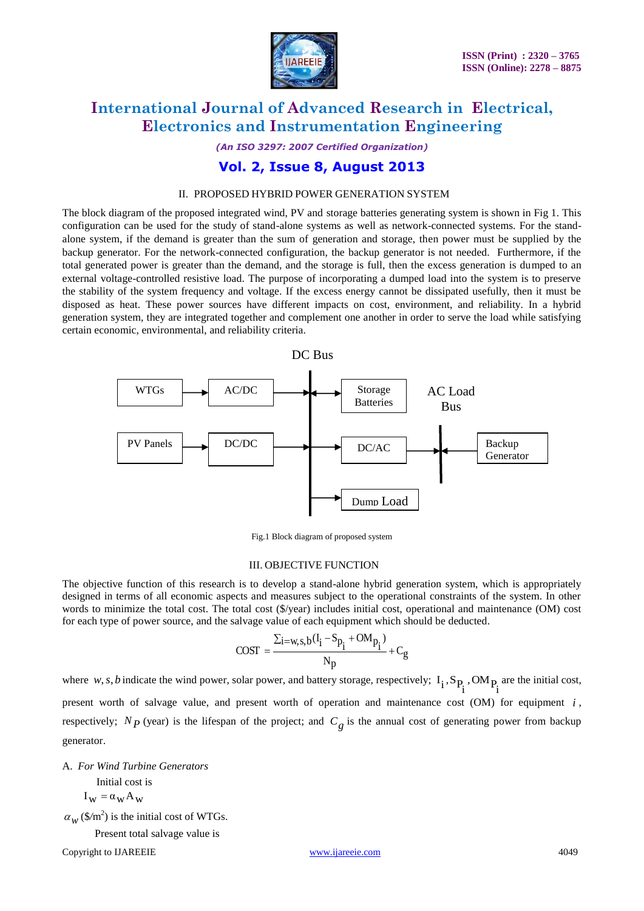

*(An ISO 3297: 2007 Certified Organization)*

### **Vol. 2, Issue 8, August 2013**

### II. PROPOSED HYBRID POWER GENERATION SYSTEM

The block diagram of the proposed integrated wind, PV and storage batteries generating system is shown in Fig 1. This configuration can be used for the study of stand-alone systems as well as network-connected systems. For the standalone system, if the demand is greater than the sum of generation and storage, then power must be supplied by the backup generator. For the network-connected configuration, the backup generator is not needed. Furthermore, if the total generated power is greater than the demand, and the storage is full, then the excess generation is dumped to an external voltage-controlled resistive load. The purpose of incorporating a dumped load into the system is to preserve the stability of the system frequency and voltage. If the excess energy cannot be dissipated usefully, then it must be disposed as heat. These power sources have different impacts on cost, environment, and reliability. In a hybrid generation system, they are integrated together and complement one another in order to serve the load while satisfying certain economic, environmental, and reliability criteria.



Fig.1 Block diagram of proposed system

#### III. OBJECTIVE FUNCTION

The objective function of this research is to develop a stand-alone hybrid generation system, which is appropriately designed in terms of all economic aspects and measures subject to the operational constraints of the system. In other words to minimize the total cost. The total cost (\$/year) includes initial cost, operational and maintenance (OM) cost for each type of power source, and the salvage value of each equipment which should be deducted.

$$
COST = \frac{\Sigma i = w, s, b(I_i - S_{p_i} + OM_{p_i})}{N_p} + C_g
$$

where  $w, s, b$  indicate the wind power, solar power, and battery storage, respectively; i P ,OM  $I_i$ ,  $S_{P_i}$ ,  $OM_{P_i}$  are the initial cost, present worth of salvage value, and present worth of operation and maintenance cost (OM) for equipment *i*, respectively;  $N_p$  (year) is the lifespan of the project; and  $C_g$  is the annual cost of generating power from backup generator.

A. *For Wind Turbine Generators*

Initial cost is  $I_w = \alpha_w A_w$  $\alpha_w$  (\$/m<sup>2</sup>) is the initial cost of WTGs.

Present total salvage value is

Copyright to IJAREEIE [www.ijareeie.com](http://www.ijareeie.com/) 4049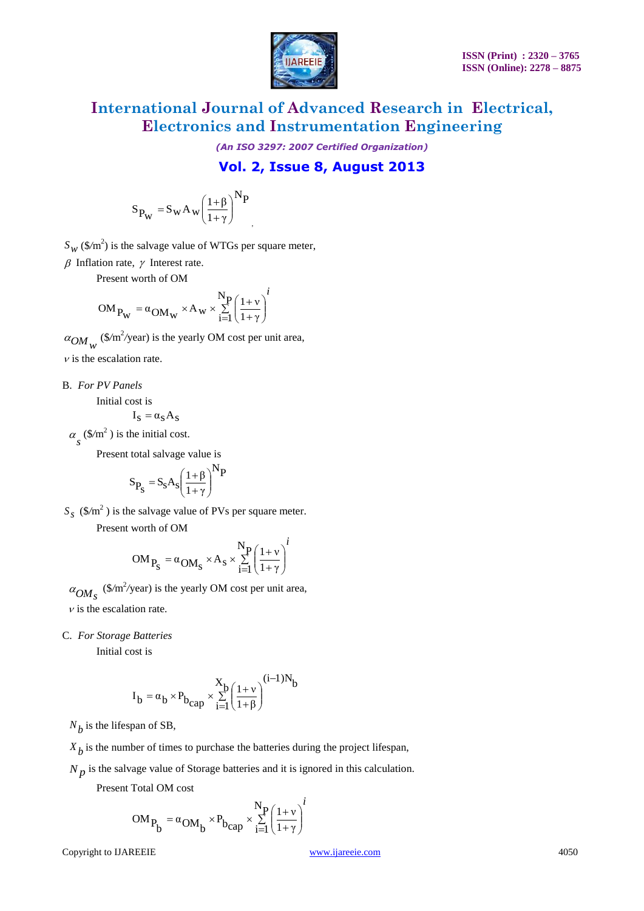

*(An ISO 3297: 2007 Certified Organization)*

### **Vol. 2, Issue 8, August 2013**

$$
S_{P_W} = S_W A_w \left(\frac{1+\beta}{1+\gamma}\right)^N P
$$

,

*i*

 $S_W$  (\$/m<sup>2</sup>) is the salvage value of WTGs per square meter,

 $\beta$  Inflation rate,  $\gamma$  Interest rate.

Present worth of OM

$$
OM_{P_W} = \alpha_{OM_W} \times A_W \times \sum_{i=1}^{N_P} \left(\frac{1+\nu}{1+\gamma}\right)^i
$$

 $\alpha_{OM}$  (\$/m<sup>2</sup>/year) is the yearly OM cost per unit area,

 $\nu$  is the escalation rate.

B. *For PV Panels*

Initial cost is

$$
\mathbf{I}_S = \boldsymbol{\alpha}_S \mathbf{A}_S
$$

 $\alpha_s$  (\$/m<sup>2</sup>) is the initial cost.

Present total salvage value is

$$
S_{P_S}=S_S A_S \bigg(\frac{1+\beta}{1+\gamma}\bigg)^{N}P
$$

*s S* (\$*/*m 2 ) is the salvage value of PVs per square meter.

Present worth of OM

$$
OM_{P_S} = \alpha_{OM_S} \times A_S \times \sum_{i=1}^{N_P} \left(\frac{1+\nu}{1+\gamma}\right)^i
$$

 $\alpha_{OM_s}$  (\$/m<sup>2</sup>/year) is the yearly OM cost per unit area,

 $\nu$  is the escalation rate.

C. *For Storage Batteries*

Initial cost is

$$
\mathbf{I}_b = \alpha_b \times \mathbf{P}_{b_{cap}} \times \sum_{i=1}^{X_b} \left(\frac{1+\nu}{1+\beta}\right)^{(i-1)N_b}
$$

 $N_b$  is the lifespan of SB,

 $X_b$  is the number of times to purchase the batteries during the project lifespan,

 $N_p$  is the salvage value of Storage batteries and it is ignored in this calculation.

Present Total OM cost

$$
S_{P_W} = S_W A_W \left(\frac{1+\beta}{1+\gamma}\right)^{1/2}
$$
  
\n $S_W (S/m^2)$  is the subage value of WTGs per square meter,  
\n $\beta$  Inflaton rat,  $\gamma$  Interst rate.  
\n**PROOF**  
\n**PROOF**  
\n $OM_{P_W} = \alpha_{OM_W} \times A_W \times \sum_{i=1}^{N} \left(\frac{1+\gamma}{1+\gamma}\right)^i$   
\n $\alpha_{OM_W} (S/m^2/sen)$  is the yearly OM cost per unit area,  
\n $\nu$  is the cocalation rate.  
\n**B.** *For PV Panes*  
\n $\alpha_s$  (S/m<sup>2</sup>) is the initial cost is  
\n
$$
S_{P_S} = S_S A_S \left(\frac{1+\beta}{1+\gamma}\right)^{NP}
$$
  
\n $S_S (S/m^2)$  is the surface value of PVs per square meter.  
\nPresent worth of OM  
\n $OM_{P_S} = \alpha_{OM_S} \times A_S \times \sum_{i=1}^{N} \left(\frac{1+\gamma}{1+\gamma}\right)^i$   
\n $\alpha_{OM_S} (S/m^2/\text{year})$  is the yearly OM cost per unit area,  
\n $\nu$  is the cscalation rate.  
\n**C.** *For Storage Batteries*  
\nInitial cost is  
\n
$$
1_b = \alpha_b \times P_{D_{Capp}} \times \sum_{i=1}^{N} \left(\frac{1+\nu}{1+\beta}\right)^{(i-1)N_b}
$$
  
\n
$$
1_b = \alpha_b \times P_{D_{Capp}} \times \sum_{i=1}^{N} \left(\frac{1+\nu}{1+\beta}\right)^{(i-1)N_b}
$$
  
\n $N_b$  is the lifespan of SB,  
\n $X_b$  is the mumber of times to purchase the batteries during the project lifespan,  
\n $N_p$  is the square value of Storage batteries and it is ignored in this calculation.  
\n**Prove the DAREEE**  
\nCopyright to DAREEE

*i*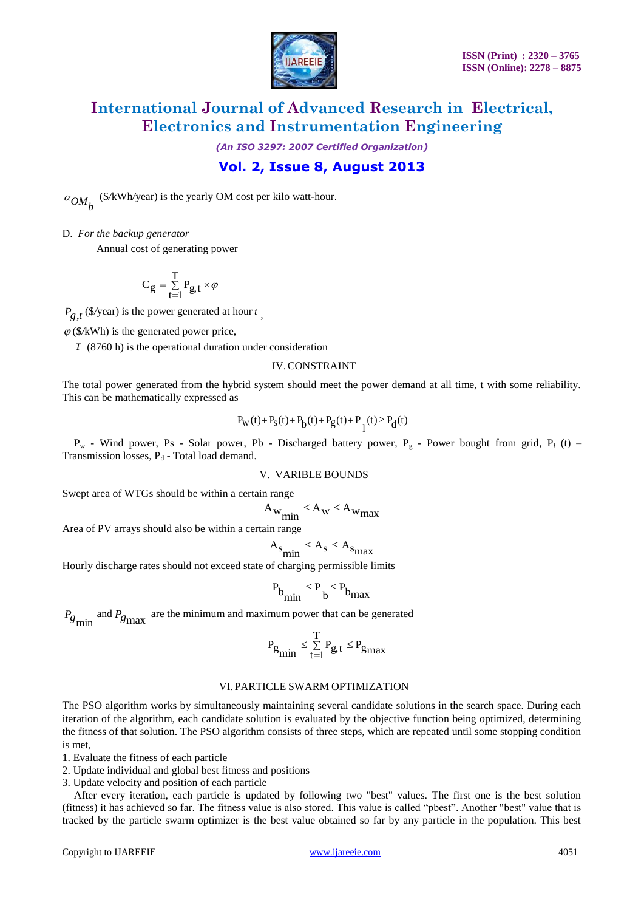

*(An ISO 3297: 2007 Certified Organization)*

### **Vol. 2, Issue 8, August 2013**

 $\alpha_{OM_b}$  (\$/kWh/year) is the yearly OM cost per kilo watt-hour.

D. *For the backup generator*

Annual cost of generating power

$$
C_g = \sum_{t=1}^{T} P_{g,t} \times \varphi
$$

 $P_{g,t}$  (\$/year) is the power generated at hour *t*,

 $\varphi$ (\$/kWh) is the generated power price,

*T* (8760 h) is the operational duration under consideration

### IV.CONSTRAINT

The total power generated from the hybrid system should meet the power demand at all time, t with some reliability. This can be mathematically expressed as

$$
P_{W}(t) + P_{S}(t) + P_{b}(t) + P_{g}(t) + P_{l}(t) \ge P_{d}(t)
$$

P<sub>w</sub> - Wind power, Ps - Solar power, Pb - Discharged battery power, P<sub>g</sub> - Power bought from grid, P<sub>l</sub> (t) – Transmission losses,  $P_d$  - Total load demand.

### V. VARIBLE BOUNDS

Swept area of WTGs should be within a certain range

$$
A_{w_{min}} \le A_w \le A_{w_{max}}
$$

Area of PV arrays should also be within a certain range

$$
A_{\text{S}_{\text{min}}} \le A_{\text{S}} \le A_{\text{S}_{\text{max}}}
$$

Hourly discharge rates should not exceed state of charging permissible limits

$$
P_{b_{min}} \leq P_{b} \leq P_{b_{max}}
$$

 $P_{g}$  and  $P_{g}$  are the minimum and maximum power that can be generated

$$
\boldsymbol{P_{g}}_{min} \leq \sum_{t=1}^{T} \boldsymbol{P_{g,t}} \leq \boldsymbol{P_{g}}_{max}
$$

#### VI.PARTICLE SWARM OPTIMIZATION

The PSO algorithm works by simultaneously maintaining several candidate solutions in the search space. During each iteration of the algorithm, each candidate solution is evaluated by the objective function being optimized, determining the fitness of that solution. The PSO algorithm consists of three steps, which are repeated until some stopping condition is met,

1. Evaluate the fitness of each particle

2. Update individual and global best fitness and positions

3. Update velocity and position of each particle

After every iteration, each particle is updated by following two "best" values. The first one is the best solution (fitness) it has achieved so far. The fitness value is also stored. This value is called "pbest". Another "best" value that is tracked by the particle swarm optimizer is the best value obtained so far by any particle in the population. This best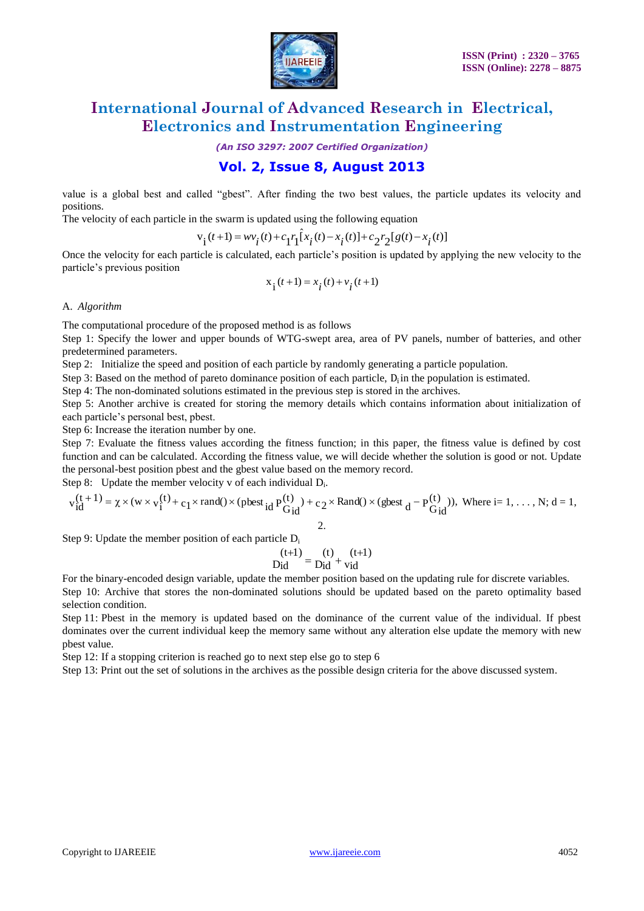

*(An ISO 3297: 2007 Certified Organization)*

### **Vol. 2, Issue 8, August 2013**

value is a global best and called "gbest". After finding the two best values, the particle updates its velocity and positions.

The velocity of each particle in the swarm is updated using the following equation

$$
\mathbf{v_i}(t+1) = w v_i(t) + c_1 r_1 \hat{\mathbf{i}} x_i(t) - x_i(t) + c_2 r_2 [g(t) - x_i(t)]
$$

Once the velocity for each particle is calculated, each particle's position is updated by applying the new velocity to the particle's previous position

$$
x_i(t+1) = x_i(t) + v_i(t+1)
$$

#### A. *Algorithm*

The computational procedure of the proposed method is as follows

Step 1: Specify the lower and upper bounds of WTG-swept area, area of PV panels, number of batteries, and other predetermined parameters.

Step 2: Initialize the speed and position of each particle by randomly generating a particle population.

Step 3: Based on the method of pareto dominance position of each particle,  $D_i$  in the population is estimated.

Step 4: The non-dominated solutions estimated in the previous step is stored in the archives.

Step 5: Another archive is created for storing the memory details which contains information about initialization of each particle's personal best, pbest.

Step 6: Increase the iteration number by one.

Step 7: Evaluate the fitness values according the fitness function; in this paper, the fitness value is defined by cost function and can be calculated. According the fitness value, we will decide whether the solution is good or not. Update the personal-best position pbest and the gbest value based on the memory record. the personal-best p<br>tep 8: Update th<br>v<sub>id</sub> (t + 1) =  $\chi \times$  (w

Step 8: Update the member velocity v of each individual  $D_i$ .

$$
v_{id}^{(t+1)} = \chi \times (w \times v_i^{(t)} + c_1 \times \text{rand}) \times (\text{pbest}_{id} P_{G_{id}}^{(t)}) + c_2 \times \text{Rand}) \times (\text{gbest}_d - P_{G_{id}}^{(t)})), \text{ Where } i = 1, \dots, N; d = 1,
$$

Step 9: Update the member position of each particle  $D_i$ 

$$
\begin{array}{c}\n\text{(t+1)} \\
\text{Did} \\
\text{Did} \\
\text{vid}\n\end{array} = \n\begin{array}{c}\n\text{(t)} \\
\text{bid} \\
\text{vid}\n\end{array}
$$

For the binary-encoded design variable, update the member position based on the updating rule for discrete variables.

Step 10: Archive that stores the non-dominated solutions should be updated based on the pareto optimality based selection condition.

Step 11: Pbest in the memory is updated based on the dominance of the current value of the individual. If pbest dominates over the current individual keep the memory same without any alteration else update the memory with new pbest value.

Step 12: If a stopping criterion is reached go to next step else go to step 6

Step 13: Print out the set of solutions in the archives as the possible design criteria for the above discussed system.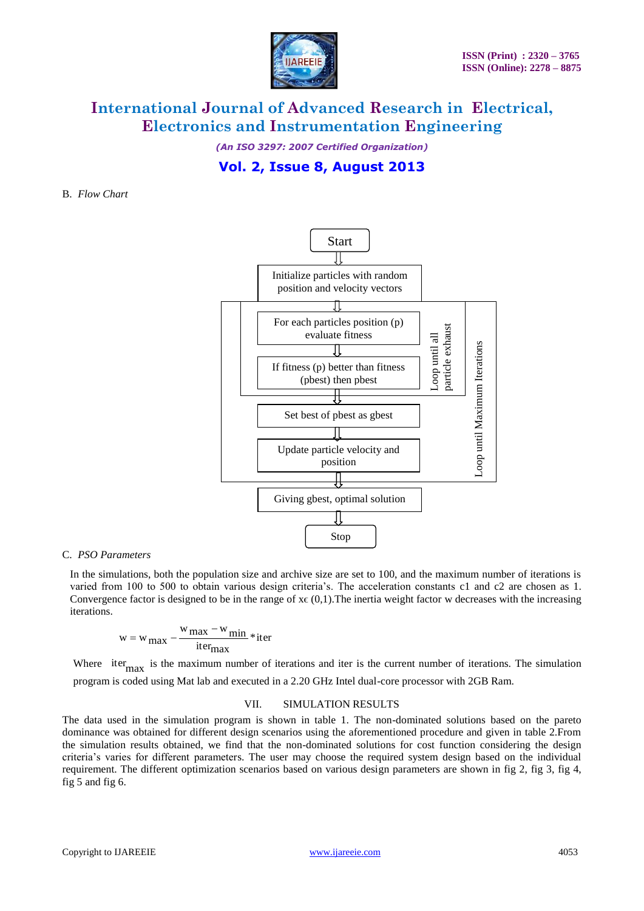

*(An ISO 3297: 2007 Certified Organization)*

### **Vol. 2, Issue 8, August 2013**

#### B. *Flow Chart*



#### C. *PSO Parameters*

In the simulations, both the population size and archive size are set to 100, and the maximum number of iterations is varied from 100 to 500 to obtain various design criteria's. The acceleration constants c1 and c2 are chosen as 1. Convergence factor is designed to be in the range of  $x \in (0,1)$ . The inertia weight factor w decreases with the increasing iterations.

$$
w = w_{max} - \frac{w_{max} - w_{min}}{iter_{max}} * iter
$$

Where iter<sub>max</sub> is the maximum number of iterations and iter is the current number of iterations. The simulation program is coded using Mat lab and executed in a 2.20 GHz Intel dual-core processor with 2GB Ram.

#### VII. SIMULATION RESULTS

The data used in the simulation program is shown in table 1. The non-dominated solutions based on the pareto dominance was obtained for different design scenarios using the aforementioned procedure and given in table 2.From the simulation results obtained, we find that the non-dominated solutions for cost function considering the design criteria's varies for different parameters. The user may choose the required system design based on the individual requirement. The different optimization scenarios based on various design parameters are shown in fig 2, fig 3, fig 4, fig 5 and fig 6.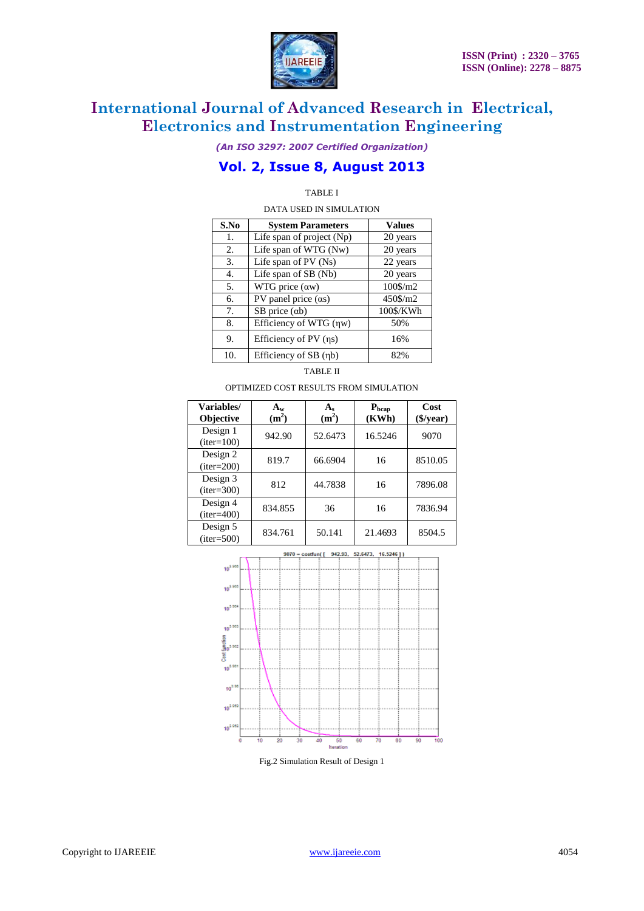

*(An ISO 3297: 2007 Certified Organization)*

### **Vol. 2, Issue 8, August 2013**

### TABLE I

DATA USED IN SIMULATION

| S.No | <b>System Parameters</b>  | <b>Values</b> |  |
|------|---------------------------|---------------|--|
| 1.   | Life span of project (Np) | 20 years      |  |
| 2.   | Life span of WTG (Nw)     | 20 years      |  |
| 3.   | Life span of $PV$ (Ns)    | 22 years      |  |
| 4.   | Life span of SB (Nb)      | 20 years      |  |
| 5.   | WTG price $(aw)$          | 100\$/m2      |  |
| б.   | PV panel price $(as)$     | 450\$/m2      |  |
| 7.   | $SB$ price $(ab)$         | 100\$/KWh     |  |
| 8.   | Efficiency of WTG (ηw)    | 50%           |  |
| 9.   | Efficiency of PV (ηs)     | 16%           |  |
| 10.  | Efficiency of SB (ηb)     | 82%           |  |

TABLE II

OPTIMIZED COST RESULTS FROM SIMULATION

| Variables/<br><b>Objective</b> | $A_w$<br>(m <sup>2</sup> ) | (m <sup>2</sup> ) | $P_{bcap}$<br>(KWh) | Cost<br>$(\frac{5}{year})$ |
|--------------------------------|----------------------------|-------------------|---------------------|----------------------------|
| Design 1<br>$(iter=100)$       | 942.90                     | 52.6473           | 16.5246             | 9070                       |
| Design 2<br>$(iter=200)$       | 819.7                      | 66.6904           | 16                  | 8510.05                    |
| Design 3<br>$(iter=300)$       | 812                        | 44.7838           | 16                  | 7896.08                    |
| Design 4<br>$(iter=400)$       | 834.855                    | 36                | 16                  | 7836.94                    |
| Design 5<br>$(iter=500)$       | 834.761                    | 50.141            | 21.4693             | 8504.5                     |



Fig.2 Simulation Result of Design 1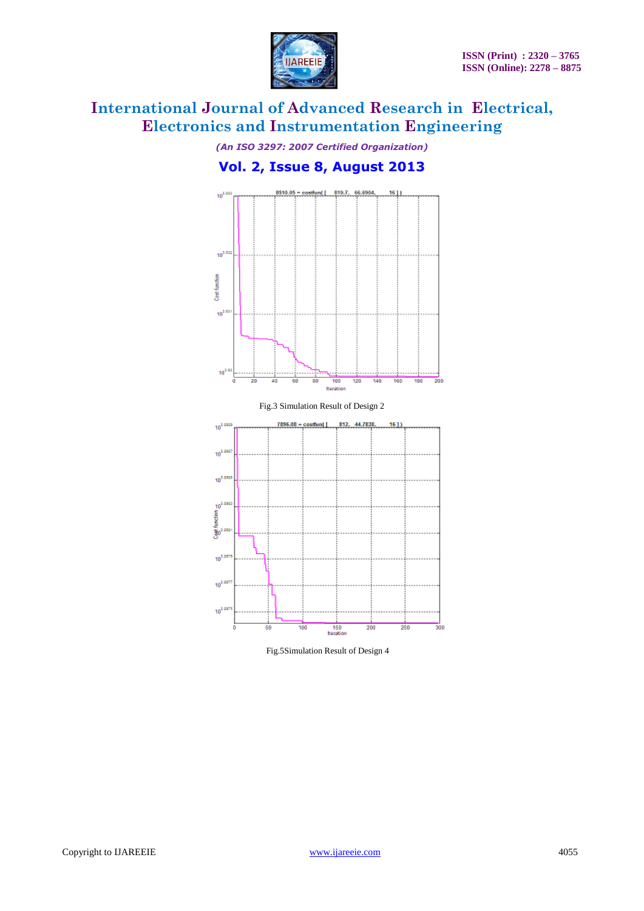

*(An ISO 3297: 2007 Certified Organization)*

### **Vol. 2, Issue 8, August 2013**





Fig.5Simulation Result of Design 4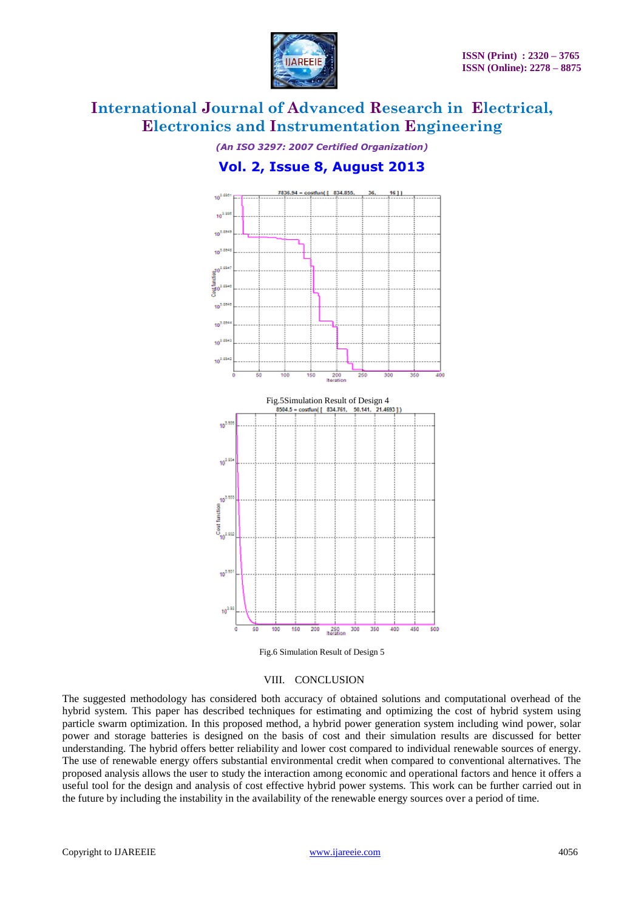

*(An ISO 3297: 2007 Certified Organization)*

### **Vol. 2, Issue 8, August 2013**



Fig.6 Simulation Result of Design 5

#### VIII. CONCLUSION

The suggested methodology has considered both accuracy of obtained solutions and computational overhead of the hybrid system. This paper has described techniques for estimating and optimizing the cost of hybrid system using particle swarm optimization. In this proposed method, a hybrid power generation system including wind power, solar power and storage batteries is designed on the basis of cost and their simulation results are discussed for better understanding. The hybrid offers better reliability and lower cost compared to individual renewable sources of energy. The use of renewable energy offers substantial environmental credit when compared to conventional alternatives. The proposed analysis allows the user to study the interaction among economic and operational factors and hence it offers a useful tool for the design and analysis of cost effective hybrid power systems. This work can be further carried out in the future by including the instability in the availability of the renewable energy sources over a period of time.